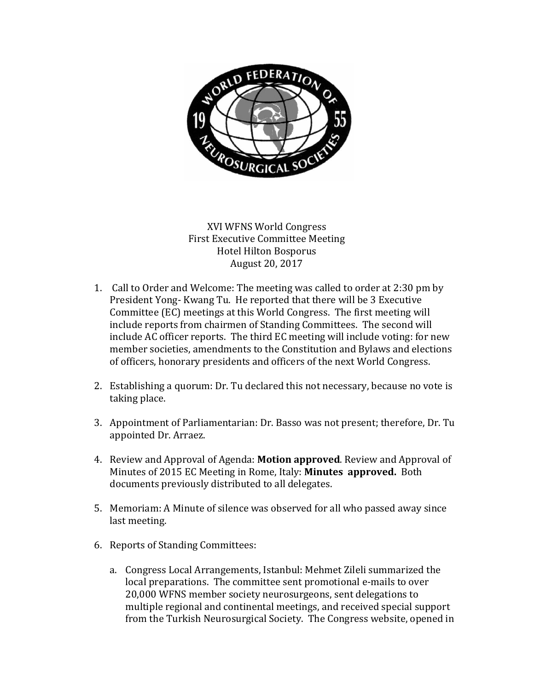

XVI WFNS World Congress First Executive Committee Meeting Hotel Hilton Bosporus August 20, 2017

- 1. Call to Order and Welcome: The meeting was called to order at 2:30 pm by President Yong- Kwang Tu. He reported that there will be 3 Executive Committee (EC) meetings at this World Congress. The first meeting will include reports from chairmen of Standing Committees. The second will include AC officer reports. The third EC meeting will include voting: for new member societies, amendments to the Constitution and Bylaws and elections of officers, honorary presidents and officers of the next World Congress.
- 2. Establishing a quorum: Dr. Tu declared this not necessary, because no vote is taking place.
- 3. Appointment of Parliamentarian: Dr. Basso was not present; therefore, Dr. Tu appointed Dr. Arraez.
- 4. Review and Approval of Agenda: **Motion approved**. Review and Approval of Minutes of 2015 EC Meeting in Rome, Italy: **Minutes approved.** Both documents previously distributed to all delegates.
- 5. Memoriam: A Minute of silence was observed for all who passed away since last meeting.
- 6. Reports of Standing Committees:
	- a. Congress Local Arrangements, Istanbul: Mehmet Zileli summarized the local preparations. The committee sent promotional e-mails to over 20,000 WFNS member society neurosurgeons, sent delegations to multiple regional and continental meetings, and received special support from the Turkish Neurosurgical Society. The Congress website, opened in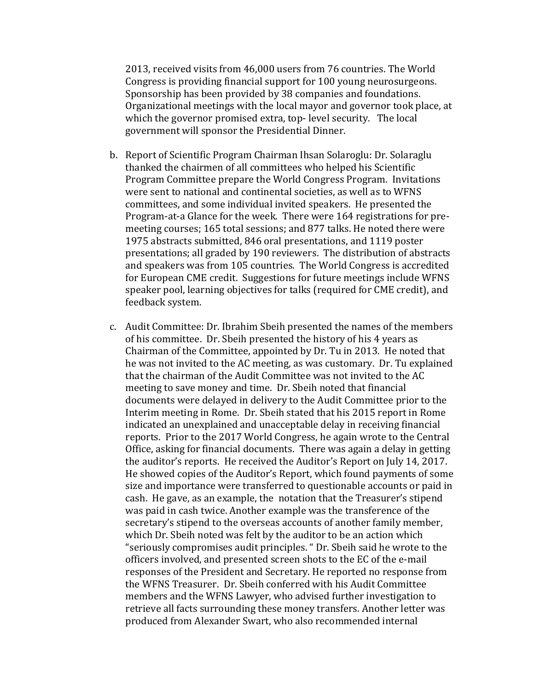2013, received visits from 46,000 users from 76 countries. The World Congress is providing financial support for 100 young neurosurgeons. Sponsorship has been provided by 38 companies and foundations. Organizational meetings with the local mayor and governor took place, at which the governor promised extra, top- level security. The local government will sponsor the Presidential Dinner.

- b. Report of Scientific Program Chairman Ihsan Solaroglu: Dr. Solaraglu thanked the chairmen of all committees who helped his Scientific Program Committee prepare the World Congress Program. Invitations were sent to national and continental societies, as well as to WFNS committees, and some individual invited speakers. He presented the Program-at-a Glance for the week. There were 164 registrations for premeeting courses; 165 total sessions; and 877 talks. He noted there were 1975 abstracts submitted, 846 oral presentations, and 1119 poster presentations; all graded by 190 reviewers. The distribution of abstracts and speakers was from 105 countries. The World Congress is accredited for European CME credit. Suggestions for future meetings include WFNS speaker pool, learning objectives for talks (required for CME credit), and feedback system.
- c. Audit Committee: Dr. Ibrahim Sbeih presented the names of the members of his committee. Dr. Sbeih presented the history of his 4 years as Chairman of the Committee, appointed by Dr. Tu in 2013. He noted that he was not invited to the AC meeting, as was customary. Dr. Tu explained that the chairman of the Audit Committee was not invited to the AC meeting to save money and time. Dr. Sbeih noted that financial documents were delayed in delivery to the Audit Committee prior to the Interim meeting in Rome. Dr. Sbeih stated that his 2015 report in Rome indicated an unexplained and unacceptable delay in receiving financial reports. Prior to the 2017 World Congress, he again wrote to the Central Office, asking for financial documents. There was again a delay in getting the auditor's reports. He received the Auditor's Report on July 14, 2017. He showed copies of the Auditor's Report, which found payments of some size and importance were transferred to questionable accounts or paid in cash. He gave, as an example, the notation that the Treasurer's stipend was paid in cash twice. Another example was the transference of the secretary's stipend to the overseas accounts of another family member, which Dr. Sbeih noted was felt by the auditor to be an action which "seriously compromises audit principles. " Dr. Sbeih said he wrote to the officers involved, and presented screen shots to the EC of the e-mail responses of the President and Secretary. He reported no response from the WFNS Treasurer. Dr. Sbeih conferred with his Audit Committee members and the WFNS Lawyer, who advised further investigation to retrieve all facts surrounding these money transfers. Another letter was produced from Alexander Swart, who also recommended internal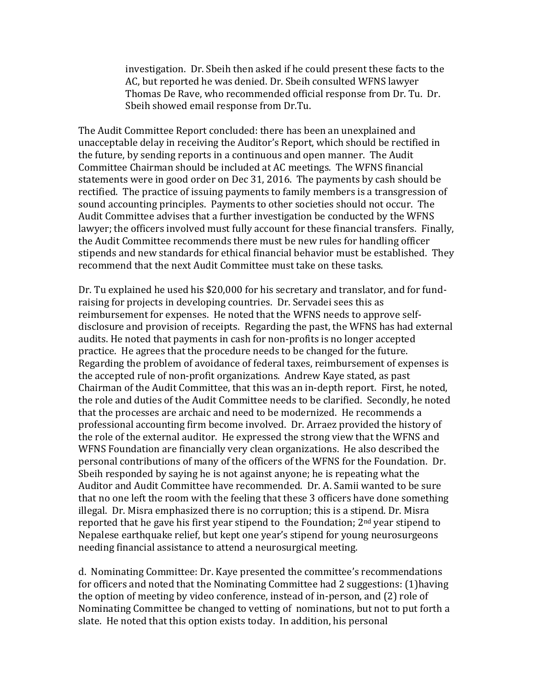investigation. Dr. Sbeih then asked if he could present these facts to the AC, but reported he was denied. Dr. Sbeih consulted WFNS lawyer Thomas De Rave, who recommended official response from Dr. Tu. Dr. Sbeih showed email response from Dr.Tu.

The Audit Committee Report concluded: there has been an unexplained and unacceptable delay in receiving the Auditor's Report, which should be rectified in the future, by sending reports in a continuous and open manner. The Audit Committee Chairman should be included at AC meetings. The WFNS financial statements were in good order on Dec 31, 2016. The payments by cash should be rectified. The practice of issuing payments to family members is a transgression of sound accounting principles. Payments to other societies should not occur. The Audit Committee advises that a further investigation be conducted by the WFNS lawyer; the officers involved must fully account for these financial transfers. Finally, the Audit Committee recommends there must be new rules for handling officer stipends and new standards for ethical financial behavior must be established. They recommend that the next Audit Committee must take on these tasks.

Dr. Tu explained he used his \$20,000 for his secretary and translator, and for fundraising for projects in developing countries. Dr. Servadei sees this as reimbursement for expenses. He noted that the WFNS needs to approve selfdisclosure and provision of receipts. Regarding the past, the WFNS has had external audits. He noted that payments in cash for non-profits is no longer accepted practice. He agrees that the procedure needs to be changed for the future. Regarding the problem of avoidance of federal taxes, reimbursement of expenses is the accepted rule of non-profit organizations. Andrew Kaye stated, as past Chairman of the Audit Committee, that this was an in-depth report. First, he noted, the role and duties of the Audit Committee needs to be clarified. Secondly, he noted that the processes are archaic and need to be modernized. He recommends a professional accounting firm become involved. Dr. Arraez provided the history of the role of the external auditor. He expressed the strong view that the WFNS and WFNS Foundation are financially very clean organizations. He also described the personal contributions of many of the officers of the WFNS for the Foundation. Dr. Sbeih responded by saying he is not against anyone; he is repeating what the Auditor and Audit Committee have recommended. Dr. A. Samii wanted to be sure that no one left the room with the feeling that these 3 officers have done something illegal. Dr. Misra emphasized there is no corruption; this is a stipend. Dr. Misra reported that he gave his first year stipend to the Foundation; 2nd year stipend to Nepalese earthquake relief, but kept one year's stipend for young neurosurgeons needing financial assistance to attend a neurosurgical meeting.

d. Nominating Committee: Dr. Kaye presented the committee's recommendations for officers and noted that the Nominating Committee had 2 suggestions: (1)having the option of meeting by video conference, instead of in-person, and (2) role of Nominating Committee be changed to vetting of nominations, but not to put forth a slate. He noted that this option exists today. In addition, his personal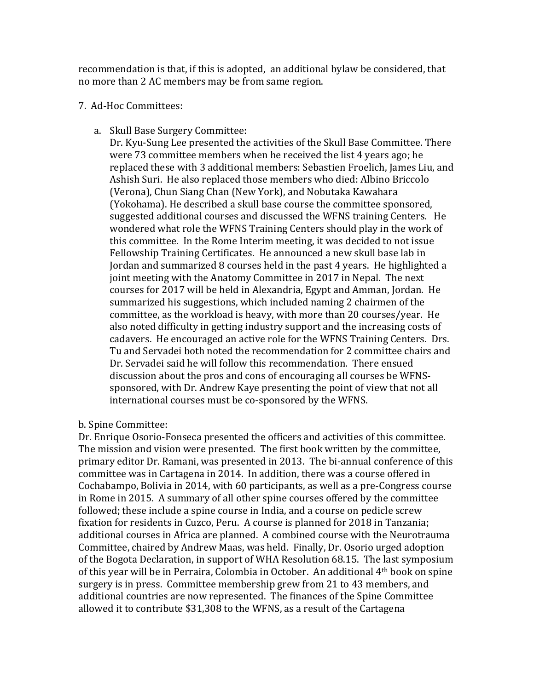recommendation is that, if this is adopted, an additional bylaw be considered, that no more than 2 AC members may be from same region.

## 7. Ad-Hoc Committees:

a. Skull Base Surgery Committee:

Dr. Kyu-Sung Lee presented the activities of the Skull Base Committee. There were 73 committee members when he received the list 4 years ago; he replaced these with 3 additional members: Sebastien Froelich, James Liu, and Ashish Suri. He also replaced those members who died: Albino Briccolo (Verona), Chun Siang Chan (New York), and Nobutaka Kawahara (Yokohama). He described a skull base course the committee sponsored, suggested additional courses and discussed the WFNS training Centers. He wondered what role the WFNS Training Centers should play in the work of this committee. In the Rome Interim meeting, it was decided to not issue Fellowship Training Certificates. He announced a new skull base lab in Jordan and summarized 8 courses held in the past 4 years. He highlighted a joint meeting with the Anatomy Committee in 2017 in Nepal. The next courses for 2017 will be held in Alexandria, Egypt and Amman, Jordan. He summarized his suggestions, which included naming 2 chairmen of the committee, as the workload is heavy, with more than 20 courses/year. He also noted difficulty in getting industry support and the increasing costs of cadavers. He encouraged an active role for the WFNS Training Centers. Drs. Tu and Servadei both noted the recommendation for 2 committee chairs and Dr. Servadei said he will follow this recommendation. There ensued discussion about the pros and cons of encouraging all courses be WFNSsponsored, with Dr. Andrew Kaye presenting the point of view that not all international courses must be co-sponsored by the WFNS.

b. Spine Committee:

Dr. Enrique Osorio-Fonseca presented the officers and activities of this committee. The mission and vision were presented. The first book written by the committee, primary editor Dr. Ramani, was presented in 2013. The bi-annual conference of this committee was in Cartagena in 2014. In addition, there was a course offered in Cochabampo, Bolivia in 2014, with 60 participants, as well as a pre-Congress course in Rome in 2015. A summary of all other spine courses offered by the committee followed; these include a spine course in India, and a course on pedicle screw fixation for residents in Cuzco, Peru. A course is planned for 2018 in Tanzania; additional courses in Africa are planned. A combined course with the Neurotrauma Committee, chaired by Andrew Maas, was held. Finally, Dr. Osorio urged adoption of the Bogota Declaration, in support of WHA Resolution 68.15. The last symposium of this year will be in Perraira, Colombia in October. An additional 4th book on spine surgery is in press. Committee membership grew from 21 to 43 members, and additional countries are now represented. The finances of the Spine Committee allowed it to contribute \$31,308 to the WFNS, as a result of the Cartagena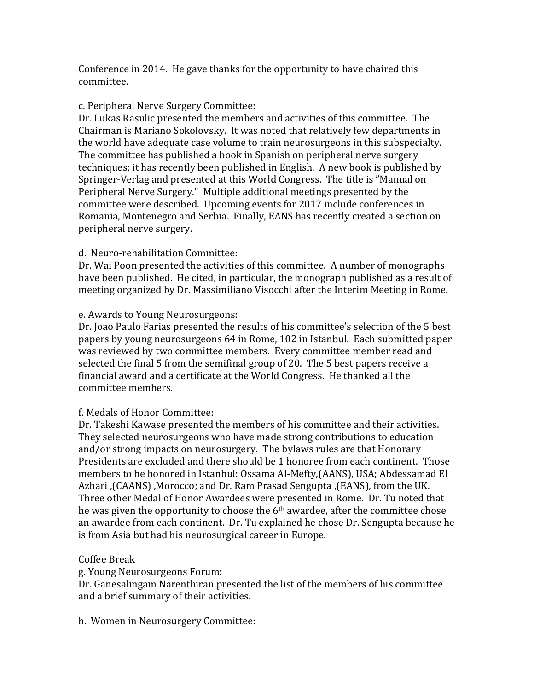Conference in 2014. He gave thanks for the opportunity to have chaired this committee.

## c. Peripheral Nerve Surgery Committee:

Dr. Lukas Rasulic presented the members and activities of this committee. The Chairman is Mariano Sokolovsky. It was noted that relatively few departments in the world have adequate case volume to train neurosurgeons in this subspecialty. The committee has published a book in Spanish on peripheral nerve surgery techniques; it has recently been published in English. A new book is published by Springer-Verlag and presented at this World Congress. The title is "Manual on Peripheral Nerve Surgery." Multiple additional meetings presented by the committee were described. Upcoming events for 2017 include conferences in Romania, Montenegro and Serbia. Finally, EANS has recently created a section on peripheral nerve surgery.

### d. Neuro-rehabilitation Committee:

Dr. Wai Poon presented the activities of this committee. A number of monographs have been published. He cited, in particular, the monograph published as a result of meeting organized by Dr. Massimiliano Visocchi after the Interim Meeting in Rome.

### e. Awards to Young Neurosurgeons:

Dr. Joao Paulo Farias presented the results of his committee's selection of the 5 best papers by young neurosurgeons 64 in Rome, 102 in Istanbul. Each submitted paper was reviewed by two committee members. Every committee member read and selected the final 5 from the semifinal group of 20. The 5 best papers receive a financial award and a certificate at the World Congress. He thanked all the committee members.

# f. Medals of Honor Committee:

Dr. Takeshi Kawase presented the members of his committee and their activities. They selected neurosurgeons who have made strong contributions to education and/or strong impacts on neurosurgery. The bylaws rules are that Honorary Presidents are excluded and there should be 1 honoree from each continent. Those members to be honored in Istanbul: Ossama Al-Mefty,(AANS), USA; Abdessamad El Azhari ,(CAANS) ,Morocco; and Dr. Ram Prasad Sengupta ,(EANS), from the UK. Three other Medal of Honor Awardees were presented in Rome. Dr. Tu noted that he was given the opportunity to choose the 6th awardee, after the committee chose an awardee from each continent. Dr. Tu explained he chose Dr. Sengupta because he is from Asia but had his neurosurgical career in Europe.

# Coffee Break

g. Young Neurosurgeons Forum:

Dr. Ganesalingam Narenthiran presented the list of the members of his committee and a brief summary of their activities.

h. Women in Neurosurgery Committee: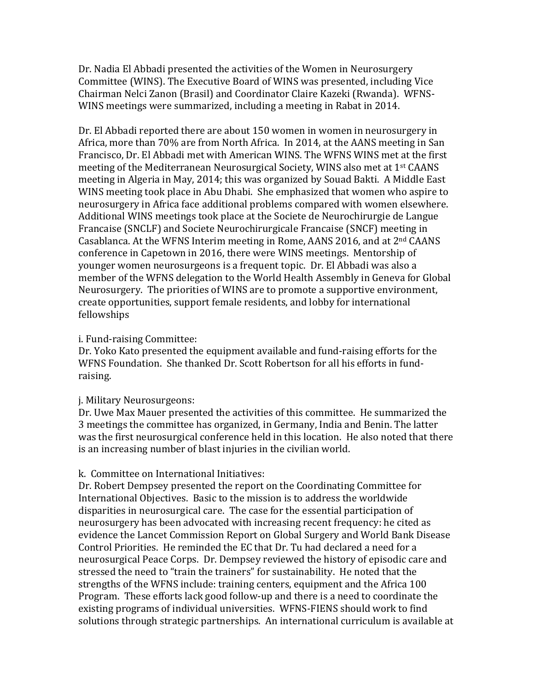Dr. Nadia El Abbadi presented the activities of the Women in Neurosurgery Committee (WINS). The Executive Board of WINS was presented, including Vice Chairman Nelci Zanon (Brasil) and Coordinator Claire Kazeki (Rwanda). WFNS-WINS meetings were summarized, including a meeting in Rabat in 2014.

Dr. El Abbadi reported there are about 150 women in women in neurosurgery in Africa, more than 70% are from North Africa. In 2014, at the AANS meeting in San Francisco, Dr. El Abbadi met with American WINS. The WFNS WINS met at the first meeting of the Mediterranean Neurosurgical Society, WINS also met at 1st CAANS meeting in Algeria in May, 2014; this was organized by Souad Bakti. A Middle East WINS meeting took place in Abu Dhabi. She emphasized that women who aspire to neurosurgery in Africa face additional problems compared with women elsewhere. Additional WINS meetings took place at the Societe de Neurochirurgie de Langue Francaise (SNCLF) and Societe Neurochirurgicale Francaise (SNCF) meeting in Casablanca. At the WFNS Interim meeting in Rome, AANS 2016, and at 2nd CAANS conference in Capetown in 2016, there were WINS meetings. Mentorship of younger women neurosurgeons is a frequent topic. Dr. El Abbadi was also a member of the WFNS delegation to the World Health Assembly in Geneva for Global Neurosurgery. The priorities of WINS are to promote a supportive environment, create opportunities, support female residents, and lobby for international fellowships

### i. Fund-raising Committee:

Dr. Yoko Kato presented the equipment available and fund-raising efforts for the WFNS Foundation. She thanked Dr. Scott Robertson for all his efforts in fundraising.

#### j. Military Neurosurgeons:

Dr. Uwe Max Mauer presented the activities of this committee. He summarized the 3 meetings the committee has organized, in Germany, India and Benin. The latter was the first neurosurgical conference held in this location. He also noted that there is an increasing number of blast injuries in the civilian world.

### k. Committee on International Initiatives:

Dr. Robert Dempsey presented the report on the Coordinating Committee for International Objectives. Basic to the mission is to address the worldwide disparities in neurosurgical care. The case for the essential participation of neurosurgery has been advocated with increasing recent frequency: he cited as evidence the Lancet Commission Report on Global Surgery and World Bank Disease Control Priorities. He reminded the EC that Dr. Tu had declared a need for a neurosurgical Peace Corps. Dr. Dempsey reviewed the history of episodic care and stressed the need to "train the trainers" for sustainability. He noted that the strengths of the WFNS include: training centers, equipment and the Africa 100 Program. These efforts lack good follow-up and there is a need to coordinate the existing programs of individual universities. WFNS-FIENS should work to find solutions through strategic partnerships. An international curriculum is available at